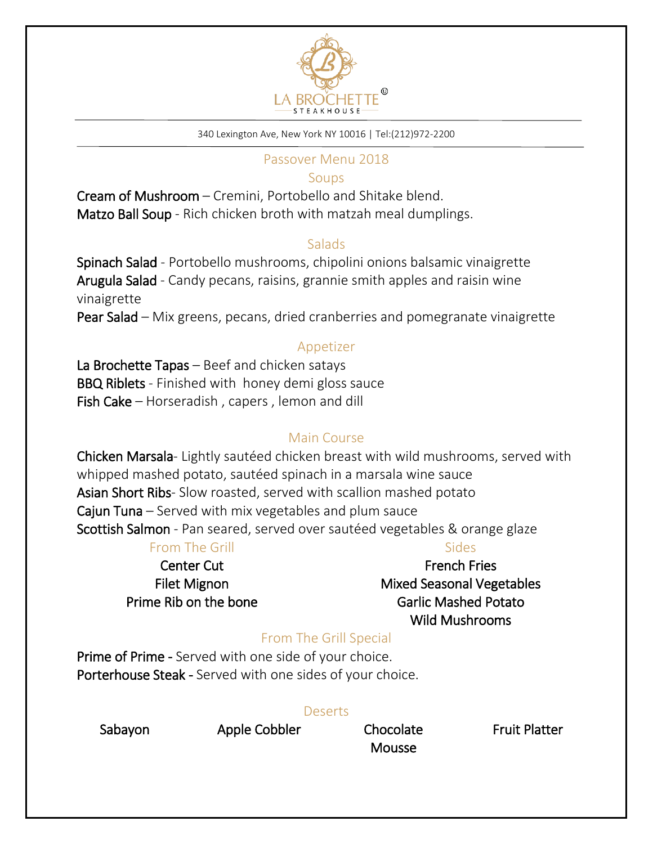

#### 340 Lexington Ave, New York NY 10016 | Tel:(212)972-2200

#### Passover Menu 2018

#### Soups

Cream of Mushroom – Cremini, Portobello and Shitake blend. Matzo Ball Soup - Rich chicken broth with matzah meal dumplings.

#### Salads

Spinach Salad - Portobello mushrooms, chipolini onions balsamic vinaigrette Arugula Salad - Candy pecans, raisins, grannie smith apples and raisin wine vinaigrette Pear Salad – Mix greens, pecans, dried cranberries and pomegranate vinaigrette

### Appetizer

La Brochette Tapas – Beef and chicken satays **BBQ Riblets** - Finished with honey demi gloss sauce Fish Cake – Horseradish , capers , lemon and dill

# Main Course

Chicken Marsala- Lightly sautéed chicken breast with wild mushrooms, served with whipped mashed potato, sautéed spinach in a marsala wine sauce Asian Short Ribs- Slow roasted, served with scallion mashed potato Cajun Tuna – Served with mix vegetables and plum sauce Scottish Salmon - Pan seared, served over sautéed vegetables & orange glaze

## From The Grill

# Center Cut Filet Mignon Prime Rib on the bone

### Sides

French Fries Mixed Seasonal Vegetables Garlic Mashed Potato Wild Mushrooms

# From The Grill Special

Prime of Prime - Served with one side of your choice. Porterhouse Steak - Served with one sides of your choice.

### **Deserts**

Sabayon

Apple Cobbler Chocolate

**Mousse** 

Fruit Platter